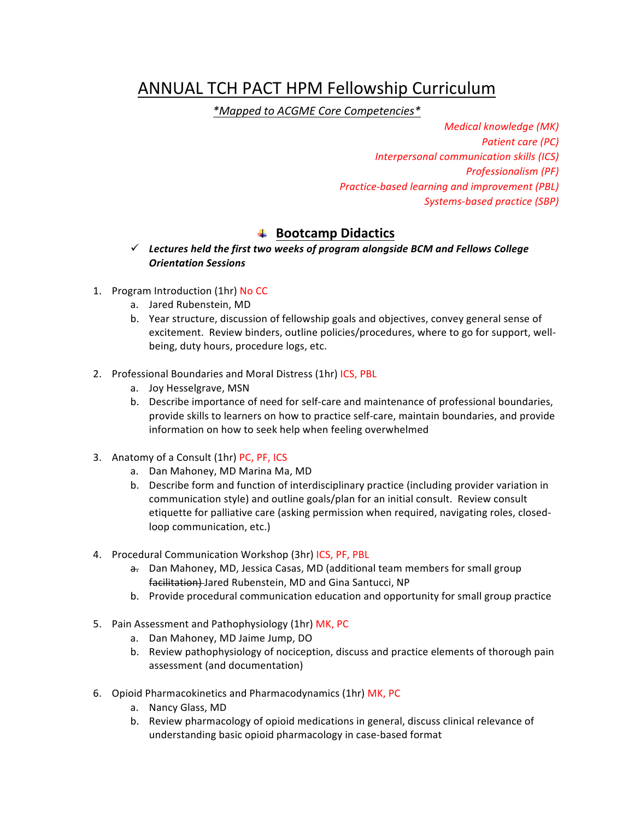# ANNUAL TCH PACT HPM Fellowship Curriculum

*\*Mapped to ACGME Core Competencies\**

*Medical knowledge (MK) Patient care (PC) Interpersonal communication skills (ICS) Professionalism (PF) Practice-based learning and improvement (PBL) Systems-based practice (SBP)*

## $\frac{4}{1}$  **Bootcamp Didactics**

#### $\checkmark$  Lectures held the first two weeks of program alongside BCM and Fellows College *Orientation Sessions*

- 1. Program Introduction (1hr) No CC
	- a. Jared Rubenstein, MD
	- b. Year structure, discussion of fellowship goals and objectives, convey general sense of excitement. Review binders, outline policies/procedures, where to go for support, wellbeing, duty hours, procedure logs, etc.
- 2. Professional Boundaries and Moral Distress (1hr) ICS, PBL
	- a. Joy Hesselgrave, MSN
	- b. Describe importance of need for self-care and maintenance of professional boundaries, provide skills to learners on how to practice self-care, maintain boundaries, and provide information on how to seek help when feeling overwhelmed
- 3. Anatomy of a Consult (1hr) PC, PF, ICS
	- a. Dan Mahoney, MD Marina Ma, MD
	- b. Describe form and function of interdisciplinary practice (including provider variation in communication style) and outline goals/plan for an initial consult. Review consult etiquette for palliative care (asking permission when required, navigating roles, closedloop communication, etc.)
- 4. Procedural Communication Workshop (3hr) ICS, PF, PBL
	- a. Dan Mahoney, MD, Jessica Casas, MD (additional team members for small group facilitation) Jared Rubenstein, MD and Gina Santucci, NP
	- b. Provide procedural communication education and opportunity for small group practice
- 5. Pain Assessment and Pathophysiology (1hr) MK, PC
	- a. Dan Mahoney, MD Jaime Jump, DO
	- b. Review pathophysiology of nociception, discuss and practice elements of thorough pain assessment (and documentation)
- 6. Opioid Pharmacokinetics and Pharmacodynamics (1hr) MK, PC
	- a. Nancy Glass, MD
	- b. Review pharmacology of opioid medications in general, discuss clinical relevance of understanding basic opioid pharmacology in case-based format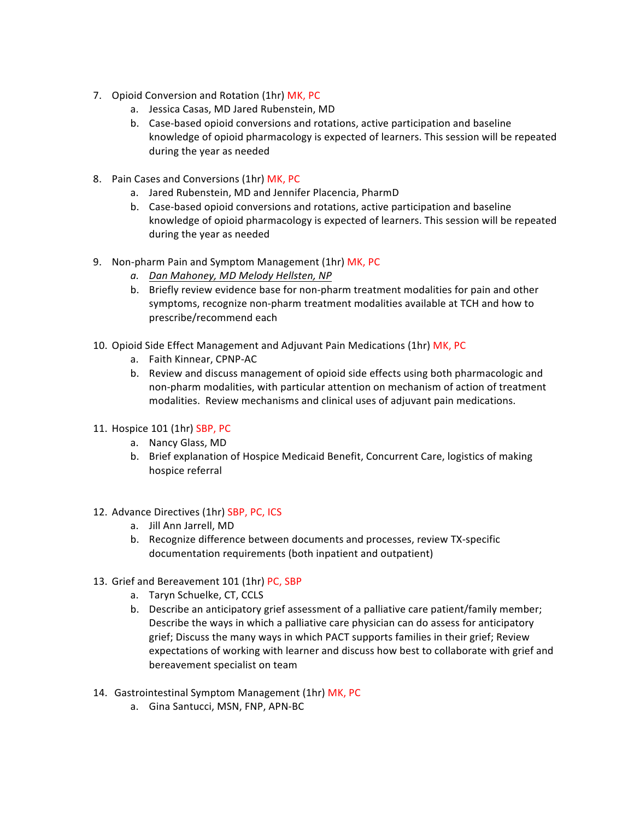- 7. Opioid Conversion and Rotation (1hr) MK, PC
	- a. Jessica Casas, MD Jared Rubenstein, MD
	- b. Case-based opioid conversions and rotations, active participation and baseline knowledge of opioid pharmacology is expected of learners. This session will be repeated during the year as needed
- 8. Pain Cases and Conversions (1hr) MK, PC
	- a. Jared Rubenstein, MD and Jennifer Placencia, PharmD
	- b. Case-based opioid conversions and rotations, active participation and baseline knowledge of opioid pharmacology is expected of learners. This session will be repeated during the year as needed
- 9. Non-pharm Pain and Symptom Management (1hr) MK, PC
	- *a. Dan Mahoney, MD Melody Hellsten, NP*
	- b. Briefly review evidence base for non-pharm treatment modalities for pain and other symptoms, recognize non-pharm treatment modalities available at TCH and how to prescribe/recommend each
- 10. Opioid Side Effect Management and Adjuvant Pain Medications (1hr) MK, PC
	- a. Faith Kinnear, CPNP-AC
	- b. Review and discuss management of opioid side effects using both pharmacologic and non-pharm modalities, with particular attention on mechanism of action of treatment modalities. Review mechanisms and clinical uses of adjuvant pain medications.
- 11. Hospice 101 (1hr) SBP, PC
	- a. Nancy Glass, MD
	- b. Brief explanation of Hospice Medicaid Benefit, Concurrent Care, logistics of making hospice referral
- 12. Advance Directives (1hr) SBP, PC, ICS
	- a. Jill Ann Jarrell, MD
	- b. Recognize difference between documents and processes, review TX-specific documentation requirements (both inpatient and outpatient)
- 13. Grief and Bereavement 101 (1hr) PC, SBP
	- a. Taryn Schuelke, CT, CCLS
	- b. Describe an anticipatory grief assessment of a palliative care patient/family member; Describe the ways in which a palliative care physician can do assess for anticipatory grief; Discuss the many ways in which PACT supports families in their grief; Review expectations of working with learner and discuss how best to collaborate with grief and bereavement specialist on team
- 14. Gastrointestinal Symptom Management (1hr) MK, PC
	- a. Gina Santucci, MSN, FNP, APN-BC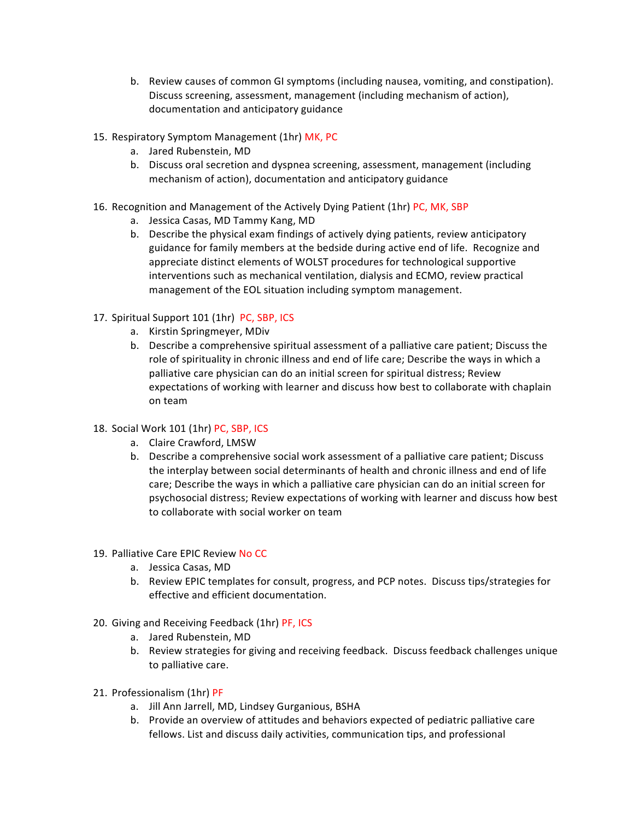- b. Review causes of common GI symptoms (including nausea, vomiting, and constipation). Discuss screening, assessment, management (including mechanism of action), documentation and anticipatory guidance
- 15. Respiratory Symptom Management (1hr) MK, PC
	- a. Jared Rubenstein, MD
	- b. Discuss oral secretion and dyspnea screening, assessment, management (including mechanism of action), documentation and anticipatory guidance
- 16. Recognition and Management of the Actively Dying Patient (1hr) PC, MK, SBP
	- a. Jessica Casas, MD Tammy Kang, MD
	- b. Describe the physical exam findings of actively dying patients, review anticipatory guidance for family members at the bedside during active end of life. Recognize and appreciate distinct elements of WOLST procedures for technological supportive interventions such as mechanical ventilation, dialysis and ECMO, review practical management of the EOL situation including symptom management.

#### 17. Spiritual Support 101 (1hr) PC, SBP, ICS

- a. Kirstin Springmeyer, MDiv
- b. Describe a comprehensive spiritual assessment of a palliative care patient; Discuss the role of spirituality in chronic illness and end of life care; Describe the ways in which a palliative care physician can do an initial screen for spiritual distress; Review expectations of working with learner and discuss how best to collaborate with chaplain on team
- 18. Social Work 101 (1hr) PC, SBP, ICS
	- a. Claire Crawford, LMSW
	- b. Describe a comprehensive social work assessment of a palliative care patient; Discuss the interplay between social determinants of health and chronic illness and end of life care; Describe the ways in which a palliative care physician can do an initial screen for psychosocial distress; Review expectations of working with learner and discuss how best to collaborate with social worker on team
- 19. Palliative Care EPIC Review No CC
	- a. Jessica Casas, MD
	- b. Review EPIC templates for consult, progress, and PCP notes. Discuss tips/strategies for effective and efficient documentation.
- 20. Giving and Receiving Feedback (1hr) PF, ICS
	- a. Jared Rubenstein, MD
	- b. Review strategies for giving and receiving feedback. Discuss feedback challenges unique to palliative care.
- 21. Professionalism (1hr) PF
	- a. Jill Ann Jarrell, MD, Lindsey Gurganious, BSHA
	- b. Provide an overview of attitudes and behaviors expected of pediatric palliative care fellows. List and discuss daily activities, communication tips, and professional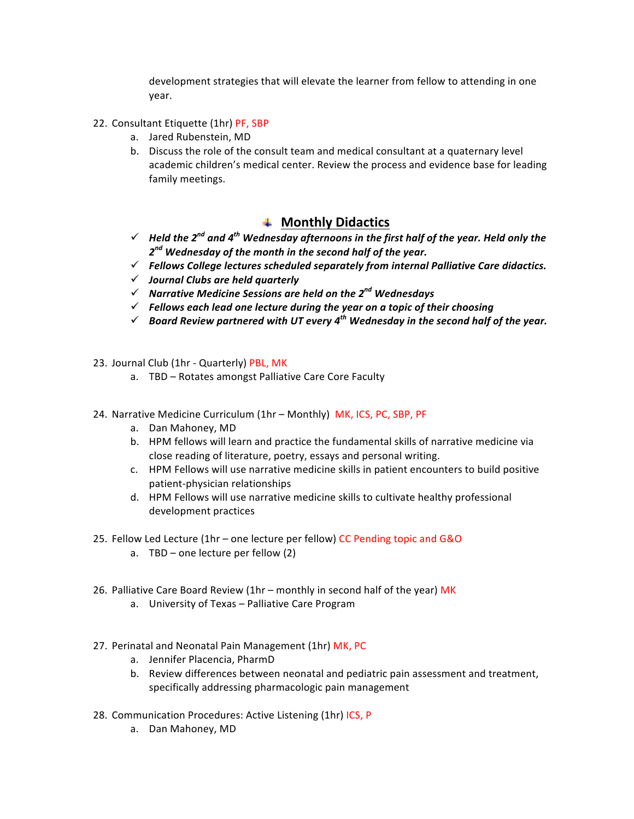development strategies that will elevate the learner from fellow to attending in one year.

- 22. Consultant Etiquette (1hr) PF, SBP
	- a. Jared Rubenstein, MD
	- b. Discuss the role of the consult team and medical consultant at a quaternary level academic children's medical center. Review the process and evidence base for leading family meetings.

### $#$  **Monthly Didactics**

- $\checkmark$  Held the 2<sup>nd</sup> and 4<sup>th</sup> Wednesday afternoons in the first half of the year. Held only the  $2^{nd}$  Wednesday of the month in the second half of the year.
- $\checkmark$  Fellows College lectures scheduled separately from internal Palliative Care didactics.
- ü *Journal Clubs are held quarterly*
- ü *Narrative Medicine Sessions are held on the 2nd Wednesdays*
- $\checkmark$  Fellows each lead one lecture during the year on a topic of their choosing
- $\checkmark$  Board Review partnered with UT every 4<sup>th</sup> Wednesday in the second half of the year.
- 23. Journal Club (1hr Quarterly) PBL, MK
	- a. TBD Rotates amongst Palliative Care Core Faculty
- 24. Narrative Medicine Curriculum (1hr Monthly) MK, ICS, PC, SBP, PF
	- a. Dan Mahoney, MD
	- b. HPM fellows will learn and practice the fundamental skills of narrative medicine via close reading of literature, poetry, essays and personal writing.
	- c. HPM Fellows will use narrative medicine skills in patient encounters to build positive patient-physician relationships
	- d. HPM Fellows will use narrative medicine skills to cultivate healthy professional development practices
- 25. Fellow Led Lecture (1hr one lecture per fellow) CC Pending topic and G&O
	- a.  $TBD$  one lecture per fellow  $(2)$
- 26. Palliative Care Board Review (1hr monthly in second half of the year) MK
	- a. University of Texas Palliative Care Program
- 27. Perinatal and Neonatal Pain Management (1hr) MK, PC
	- a. Jennifer Placencia, PharmD
	- b. Review differences between neonatal and pediatric pain assessment and treatment, specifically addressing pharmacologic pain management
- 28. Communication Procedures: Active Listening (1hr) ICS, P
	- a. Dan Mahoney, MD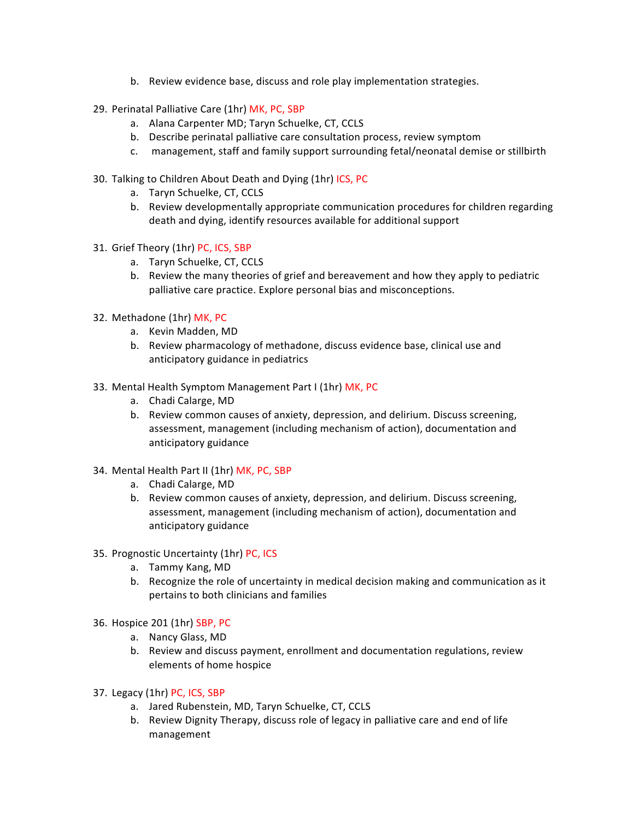- b. Review evidence base, discuss and role play implementation strategies.
- 29. Perinatal Palliative Care (1hr) MK, PC, SBP
	- a. Alana Carpenter MD; Taryn Schuelke, CT, CCLS
	- b. Describe perinatal palliative care consultation process, review symptom
	- c. management, staff and family support surrounding fetal/neonatal demise or stillbirth
- 30. Talking to Children About Death and Dying (1hr) ICS, PC
	- a. Taryn Schuelke, CT, CCLS
	- b. Review developmentally appropriate communication procedures for children regarding death and dying, identify resources available for additional support
- 31. Grief Theory (1hr) PC, ICS, SBP
	- a. Taryn Schuelke, CT, CCLS
	- b. Review the many theories of grief and bereavement and how they apply to pediatric palliative care practice. Explore personal bias and misconceptions.
- 32. Methadone (1hr) MK, PC
	- a. Kevin Madden, MD
	- b. Review pharmacology of methadone, discuss evidence base, clinical use and anticipatory guidance in pediatrics
- 33. Mental Health Symptom Management Part I (1hr) MK, PC
	- a. Chadi Calarge, MD
	- b. Review common causes of anxiety, depression, and delirium. Discuss screening, assessment, management (including mechanism of action), documentation and anticipatory guidance
- 34. Mental Health Part II (1hr) MK, PC, SBP
	- a. Chadi Calarge, MD
	- b. Review common causes of anxiety, depression, and delirium. Discuss screening, assessment, management (including mechanism of action), documentation and anticipatory guidance
- 35. Prognostic Uncertainty (1hr) PC, ICS
	- a. Tammy Kang, MD
	- b. Recognize the role of uncertainty in medical decision making and communication as it pertains to both clinicians and families
- 36. Hospice 201 (1hr) SBP, PC
	- a. Nancy Glass, MD
	- b. Review and discuss payment, enrollment and documentation regulations, review elements of home hospice
- 37. Legacy (1hr) PC, ICS, SBP
	- a. Jared Rubenstein, MD, Taryn Schuelke, CT, CCLS
	- b. Review Dignity Therapy, discuss role of legacy in palliative care and end of life management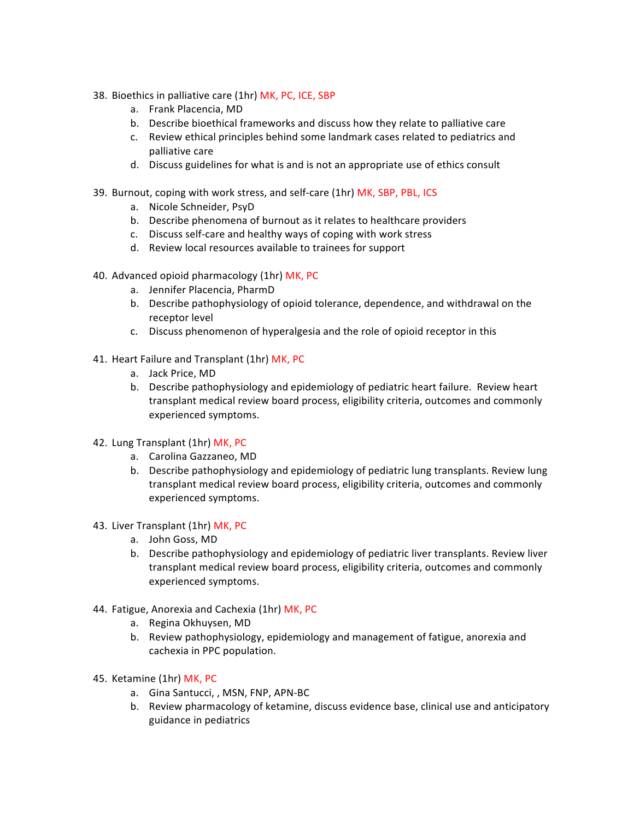- 38. Bioethics in palliative care (1hr) MK, PC, ICE, SBP
	- a. Frank Placencia, MD
	- b. Describe bioethical frameworks and discuss how they relate to palliative care
	- c. Review ethical principles behind some landmark cases related to pediatrics and palliative care
	- d. Discuss guidelines for what is and is not an appropriate use of ethics consult
- 39. Burnout, coping with work stress, and self-care (1hr) MK, SBP, PBL, ICS
	- a. Nicole Schneider, PsyD
	- b. Describe phenomena of burnout as it relates to healthcare providers
	- c. Discuss self-care and healthy ways of coping with work stress
	- d. Review local resources available to trainees for support
- 40. Advanced opioid pharmacology (1hr) MK, PC
	- a. Jennifer Placencia, PharmD
	- b. Describe pathophysiology of opioid tolerance, dependence, and withdrawal on the receptor level
	- c. Discuss phenomenon of hyperalgesia and the role of opioid receptor in this
- 41. Heart Failure and Transplant (1hr) MK, PC
	- a. Jack Price, MD
	- b. Describe pathophysiology and epidemiology of pediatric heart failure. Review heart transplant medical review board process, eligibility criteria, outcomes and commonly experienced symptoms.
- 42. Lung Transplant (1hr) MK, PC
	- a. Carolina Gazzaneo, MD
	- b. Describe pathophysiology and epidemiology of pediatric lung transplants. Review lung transplant medical review board process, eligibility criteria, outcomes and commonly experienced symptoms.
- 43. Liver Transplant (1hr) MK, PC
	- a. John Goss, MD
	- b. Describe pathophysiology and epidemiology of pediatric liver transplants. Review liver transplant medical review board process, eligibility criteria, outcomes and commonly experienced symptoms.
- 44. Fatigue, Anorexia and Cachexia (1hr) MK, PC
	- a. Regina Okhuysen, MD
	- b. Review pathophysiology, epidemiology and management of fatigue, anorexia and cachexia in PPC population.
- 45. Ketamine (1hr) MK, PC
	- a. Gina Santucci, , MSN, FNP, APN-BC
	- b. Review pharmacology of ketamine, discuss evidence base, clinical use and anticipatory guidance in pediatrics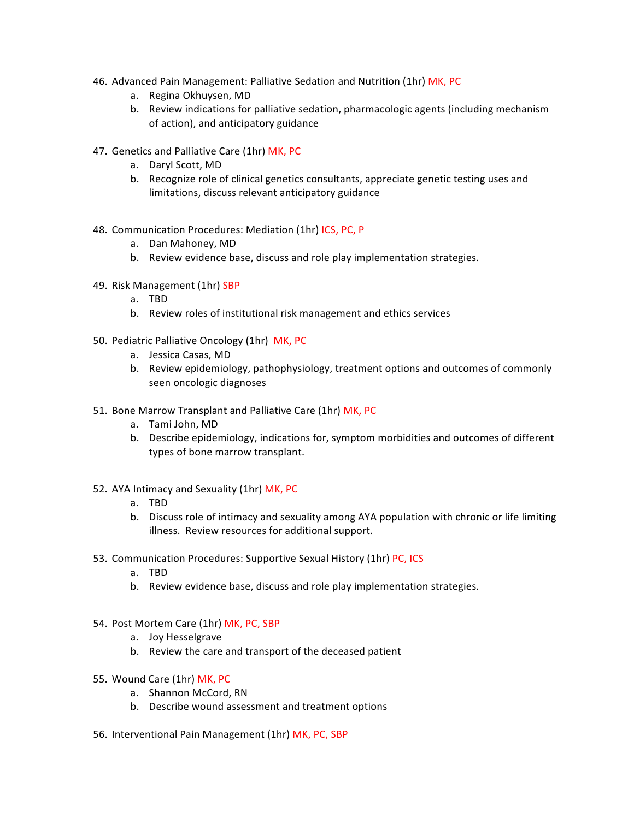- 46. Advanced Pain Management: Palliative Sedation and Nutrition (1hr) MK, PC
	- a. Regina Okhuysen, MD
	- b. Review indications for palliative sedation, pharmacologic agents (including mechanism of action), and anticipatory guidance
- 47. Genetics and Palliative Care (1hr) MK, PC
	- a. Daryl Scott, MD
	- b. Recognize role of clinical genetics consultants, appreciate genetic testing uses and limitations, discuss relevant anticipatory guidance
- 48. Communication Procedures: Mediation (1hr) ICS, PC, P
	- a. Dan Mahoney, MD
	- b. Review evidence base, discuss and role play implementation strategies.
- 49. Risk Management (1hr) SBP
	- a. TBD
	- b. Review roles of institutional risk management and ethics services
- 50. Pediatric Palliative Oncology (1hr) MK, PC
	- a. Jessica Casas, MD
	- b. Review epidemiology, pathophysiology, treatment options and outcomes of commonly seen oncologic diagnoses
- 51. Bone Marrow Transplant and Palliative Care (1hr) MK, PC
	- a. Tami John, MD
	- b. Describe epidemiology, indications for, symptom morbidities and outcomes of different types of bone marrow transplant.
- 52. AYA Intimacy and Sexuality (1hr) MK, PC
	- a. TBD
	- b. Discuss role of intimacy and sexuality among AYA population with chronic or life limiting illness. Review resources for additional support.
- 53. Communication Procedures: Supportive Sexual History (1hr) PC, ICS
	- a. TBD
	- b. Review evidence base, discuss and role play implementation strategies.
- 54. Post Mortem Care (1hr) MK, PC, SBP
	- a. Joy Hesselgrave
	- b. Review the care and transport of the deceased patient
- 55. Wound Care (1hr) MK, PC
	- a. Shannon McCord, RN
	- b. Describe wound assessment and treatment options
- 56. Interventional Pain Management (1hr) MK, PC, SBP